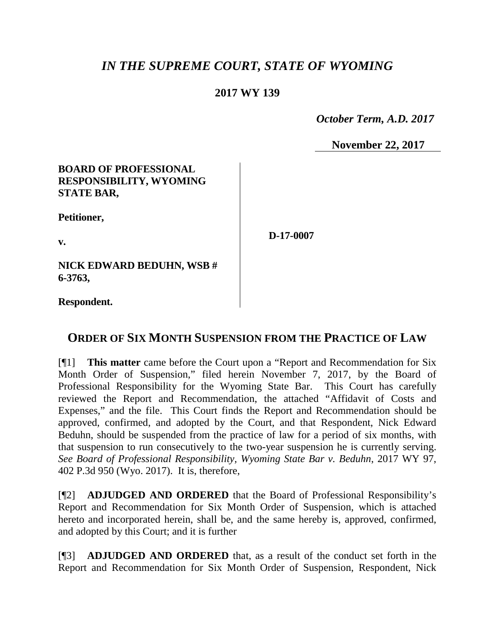# *IN THE SUPREME COURT, STATE OF WYOMING*

## **2017 WY 139**

 *October Term, A.D. 2017*

**November 22, 2017**

### **BOARD OF PROFESSIONAL RESPONSIBILITY, WYOMING STATE BAR,**

**Petitioner,**

**v.**

**D-17-0007**

**NICK EDWARD BEDUHN, WSB # 6-3763,**

**Respondent.**

## **ORDER OF SIX MONTH SUSPENSION FROM THE PRACTICE OF LAW**

[¶1] **This matter** came before the Court upon a "Report and Recommendation for Six Month Order of Suspension," filed herein November 7, 2017, by the Board of Professional Responsibility for the Wyoming State Bar. This Court has carefully reviewed the Report and Recommendation, the attached "Affidavit of Costs and Expenses," and the file. This Court finds the Report and Recommendation should be approved, confirmed, and adopted by the Court, and that Respondent, Nick Edward Beduhn, should be suspended from the practice of law for a period of six months, with that suspension to run consecutively to the two-year suspension he is currently serving. *See Board of Professional Responsibility, Wyoming State Bar v. Beduhn*, 2017 WY 97, 402 P.3d 950 (Wyo. 2017). It is, therefore,

[¶2] **ADJUDGED AND ORDERED** that the Board of Professional Responsibility's Report and Recommendation for Six Month Order of Suspension, which is attached hereto and incorporated herein, shall be, and the same hereby is, approved, confirmed, and adopted by this Court; and it is further

[¶3] **ADJUDGED AND ORDERED** that, as a result of the conduct set forth in the Report and Recommendation for Six Month Order of Suspension, Respondent, Nick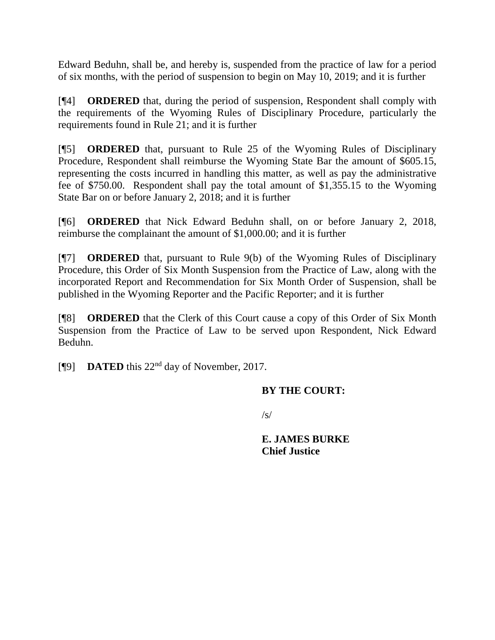Edward Beduhn, shall be, and hereby is, suspended from the practice of law for a period of six months, with the period of suspension to begin on May 10, 2019; and it is further

[¶4] **ORDERED** that, during the period of suspension, Respondent shall comply with the requirements of the Wyoming Rules of Disciplinary Procedure, particularly the requirements found in Rule 21; and it is further

[¶5] **ORDERED** that, pursuant to Rule 25 of the Wyoming Rules of Disciplinary Procedure, Respondent shall reimburse the Wyoming State Bar the amount of \$605.15, representing the costs incurred in handling this matter, as well as pay the administrative fee of \$750.00. Respondent shall pay the total amount of \$1,355.15 to the Wyoming State Bar on or before January 2, 2018; and it is further

[¶6] **ORDERED** that Nick Edward Beduhn shall, on or before January 2, 2018, reimburse the complainant the amount of \$1,000.00; and it is further

[¶7] **ORDERED** that, pursuant to Rule 9(b) of the Wyoming Rules of Disciplinary Procedure, this Order of Six Month Suspension from the Practice of Law, along with the incorporated Report and Recommendation for Six Month Order of Suspension, shall be published in the Wyoming Reporter and the Pacific Reporter; and it is further

[¶8] **ORDERED** that the Clerk of this Court cause a copy of this Order of Six Month Suspension from the Practice of Law to be served upon Respondent, Nick Edward Beduhn.

[¶9] **DATED** this 22nd day of November, 2017.

## **BY THE COURT:**

 $\sqrt{s}$ 

**E. JAMES BURKE Chief Justice**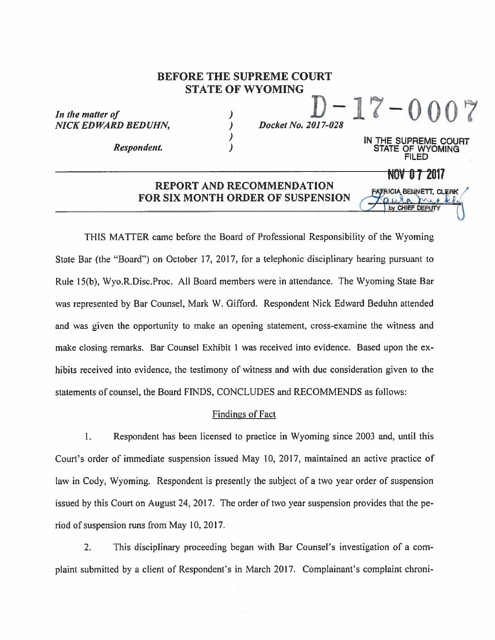## **BEFORE THE SUPREME COURT STATE OF WYOMING**

 $\lambda$  $\overline{\phantom{a}}$ 

In the matter of **NICK EDWARD BEDUHN.** 

**Respondent.** 

 $-17 - 0007$ Docket No. 2017-028

> IN THE SUPREME COURT WYOMING

> > NOV 0 7 2017

PATRICIA BENNETT, CLERK

by CHIFF DEPLIT

### REPORT AND RECOMMENDATION **FOR SIX MONTH ORDER OF SUSPENSION**

THIS MATTER came before the Board of Professional Responsibility of the Wyoming State Bar (the "Board") on October 17, 2017, for a telephonic disciplinary hearing pursuant to Rule 15(b), Wyo, R. Disc, Proc. All Board members were in attendance. The Wyoming State Bar was represented by Bar Counsel, Mark W. Gifford. Respondent Nick Edward Beduhn attended and was given the opportunity to make an opening statement, cross-examine the witness and make closing remarks. Bar Counsel Exhibit 1 was received into evidence. Based upon the exhibits received into evidence, the testimony of witness and with due consideration given to the statements of counsel, the Board FINDS, CONCLUDES and RECOMMENDS as follows:

#### **Findings of Fact**

1. Respondent has been licensed to practice in Wyoming since 2003 and, until this Court's order of immediate suspension issued May 10, 2017, maintained an active practice of law in Cody, Wyoming. Respondent is presently the subject of a two year order of suspension issued by this Court on August 24, 2017. The order of two year suspension provides that the period of suspension runs from May 10, 2017.

 $2.$ This disciplinary proceeding began with Bar Counsel's investigation of a complaint submitted by a client of Respondent's in March 2017. Complainant's complaint chroni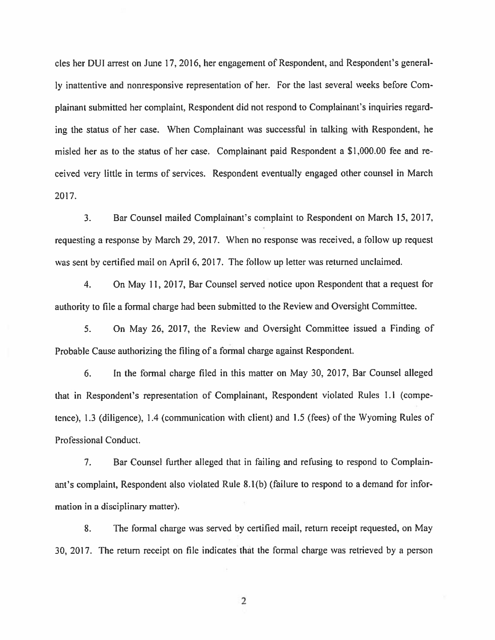cles her DUI arrest on June 17, 2016, her engagement of Respondent, and Respondent's generally inattentive and nonresponsive representation of her. For the last several weeks before Complainant submitted her complaint, Respondent did not respond to Complainant's inquiries regarding the status of her case. When Complainant was successful in talking with Respondent, he misled her as to the status of her case. Complainant paid Respondent a \$1,000.00 fee and received very little in terms of services. Respondent eventually engaged other counsel in March 2017.

 $\overline{3}$ . Bar Counsel mailed Complainant's complaint to Respondent on March 15, 2017, requesting a response by March 29, 2017. When no response was received, a follow up request was sent by certified mail on April 6, 2017. The follow up letter was returned unclaimed.

 $\overline{4}$ . On May 11, 2017, Bar Counsel served notice upon Respondent that a request for authority to file a formal charge had been submitted to the Review and Oversight Committee.

5. On May 26, 2017, the Review and Oversight Committee issued a Finding of Probable Cause authorizing the filing of a formal charge against Respondent.

In the formal charge filed in this matter on May 30, 2017, Bar Counsel alleged 6. that in Respondent's representation of Complainant, Respondent violated Rules 1.1 (competence), 1.3 (diligence), 1.4 (communication with client) and 1.5 (fees) of the Wyoming Rules of Professional Conduct.

7. Bar Counsel further alleged that in failing and refusing to respond to Complainant's complaint, Respondent also violated Rule 8.1(b) (failure to respond to a demand for information in a disciplinary matter).

8. The formal charge was served by certified mail, return receipt requested, on May 30, 2017. The return receipt on file indicates that the formal charge was retrieved by a person

 $\overline{2}$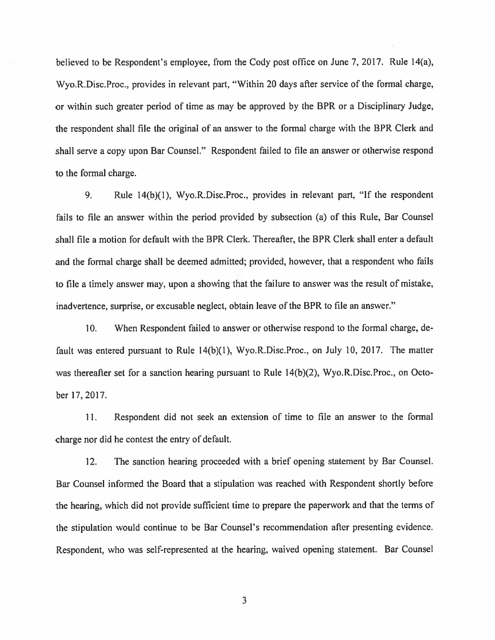believed to be Respondent's employee, from the Cody post office on June 7, 2017. Rule 14(a), Wyo.R.Disc.Proc., provides in relevant part, "Within 20 days after service of the formal charge, or within such greater period of time as may be approved by the BPR or a Disciplinary Judge, the respondent shall file the original of an answer to the formal charge with the BPR Clerk and shall serve a copy upon Bar Counsel." Respondent failed to file an answer or otherwise respond to the formal charge.

Rule 14(b)(1), Wyo.R.Disc.Proc., provides in relevant part, "If the respondent 9. fails to file an answer within the period provided by subsection (a) of this Rule, Bar Counsel shall file a motion for default with the BPR Clerk. Thereafter, the BPR Clerk shall enter a default and the formal charge shall be deemed admitted; provided, however, that a respondent who fails to file a timely answer may, upon a showing that the failure to answer was the result of mistake, inadvertence, surprise, or excusable neglect, obtain leave of the BPR to file an answer."

 $10.$ When Respondent failed to answer or otherwise respond to the formal charge, default was entered pursuant to Rule 14(b)(1), Wyo.R.Disc.Proc., on July 10, 2017. The matter was thereafter set for a sanction hearing pursuant to Rule 14(b)(2), Wyo.R.Disc.Proc., on October 17, 2017.

Respondent did not seek an extension of time to file an answer to the formal 11. charge nor did he contest the entry of default.

12. The sanction hearing proceeded with a brief opening statement by Bar Counsel. Bar Counsel informed the Board that a stipulation was reached with Respondent shortly before the hearing, which did not provide sufficient time to prepare the paperwork and that the terms of the stipulation would continue to be Bar Counsel's recommendation after presenting evidence. Respondent, who was self-represented at the hearing, waived opening statement. Bar Counsel

3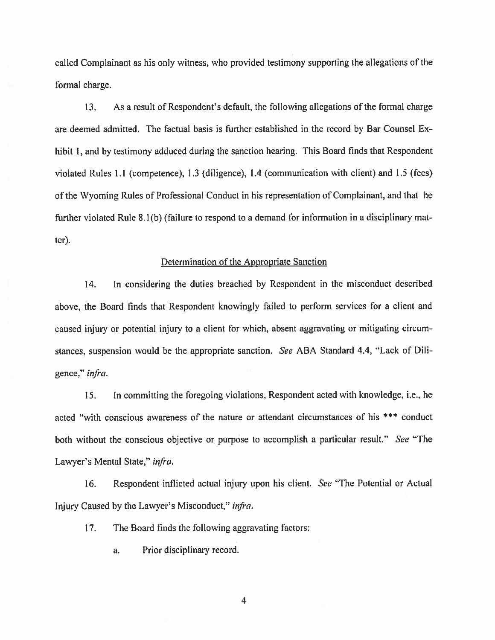called Complainant as his only witness, who provided testimony supporting the allegations of the formal charge.

 $13.$ As a result of Respondent's default, the following allegations of the formal charge are deemed admitted. The factual basis is further established in the record by Bar Counsel Exhibit 1, and by testimony adduced during the sanction hearing. This Board finds that Respondent violated Rules 1.1 (competence), 1.3 (diligence), 1.4 (communication with client) and 1.5 (fees) of the Wyoming Rules of Professional Conduct in his representation of Complainant, and that he further violated Rule 8.1(b) (failure to respond to a demand for information in a disciplinary mat $ter)$ .

#### Determination of the Appropriate Sanction

14. In considering the duties breached by Respondent in the misconduct described above, the Board finds that Respondent knowingly failed to perform services for a client and caused injury or potential injury to a client for which, absent aggravating or mitigating circumstances, suspension would be the appropriate sanction. See ABA Standard 4.4, "Lack of Diligence," infra.

15. In committing the foregoing violations, Respondent acted with knowledge, i.e., he acted "with conscious awareness of the nature or attendant circumstances of his \*\*\* conduct both without the conscious objective or purpose to accomplish a particular result." See "The Lawyer's Mental State," infra.

Respondent inflicted actual injury upon his client. See "The Potential or Actual 16. Injury Caused by the Lawyer's Misconduct," infra.

 $17.$ The Board finds the following aggravating factors:

> a. Prior disciplinary record.

> > 4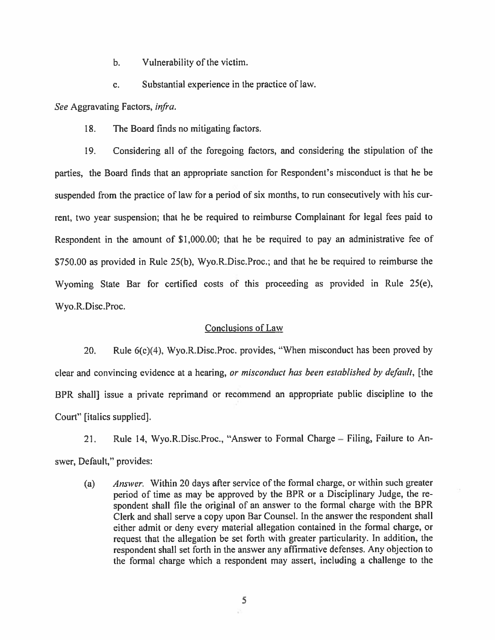- Vulnerability of the victim.  $\mathbf{b}$ .
- Substantial experience in the practice of law. c.

See Aggravating Factors, infra.

18. The Board finds no mitigating factors.

Considering all of the foregoing factors, and considering the stipulation of the 19. parties, the Board finds that an appropriate sanction for Respondent's misconduct is that he be suspended from the practice of law for a period of six months, to run consecutively with his current, two year suspension; that he be required to reimburse Complainant for legal fees paid to Respondent in the amount of \$1,000.00; that he be required to pay an administrative fee of \$750.00 as provided in Rule 25(b), Wyo.R.Disc.Proc.; and that he be required to reimburse the Wyoming State Bar for certified costs of this proceeding as provided in Rule 25(e), Wyo.R.Disc.Proc.

#### **Conclusions of Law**

Rule 6(c)(4), Wyo.R.Disc.Proc. provides, "When misconduct has been proved by 20. clear and convincing evidence at a hearing, or misconduct has been established by default, [the BPR shall] issue a private reprimand or recommend an appropriate public discipline to the Court" [italics supplied].

21. Rule 14, Wyo.R.Disc.Proc., "Answer to Formal Charge – Filing, Failure to Answer, Default," provides:

Answer. Within 20 days after service of the formal charge, or within such greater  $(a)$ period of time as may be approved by the BPR or a Disciplinary Judge, the respondent shall file the original of an answer to the formal charge with the BPR Clerk and shall serve a copy upon Bar Counsel. In the answer the respondent shall either admit or deny every material allegation contained in the formal charge, or request that the allegation be set forth with greater particularity. In addition, the respondent shall set forth in the answer any affirmative defenses. Any objection to the formal charge which a respondent may assert, including a challenge to the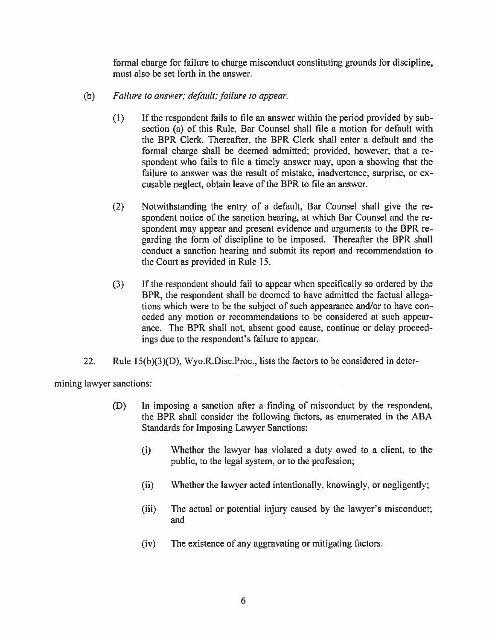formal charge for failure to charge misconduct constituting grounds for discipline, must also be set forth in the answer.

- (b) Failure to answer; default; failure to appear.
	- If the respondent fails to file an answer within the period provided by sub- $(1)$ section (a) of this Rule, Bar Counsel shall file a motion for default with the BPR Clerk. Thereafter, the BPR Clerk shall enter a default and the formal charge shall be deemed admitted; provided, however, that a respondent who fails to file a timely answer may, upon a showing that the failure to answer was the result of mistake, inadvertence, surprise, or excusable neglect, obtain leave of the BPR to file an answer.
	- $(2)$ Notwithstanding the entry of a default, Bar Counsel shall give the respondent notice of the sanction hearing, at which Bar Counsel and the respondent may appear and present evidence and arguments to the BPR regarding the form of discipline to be imposed. Thereafter the BPR shall conduct a sanction hearing and submit its report and recommendation to the Court as provided in Rule 15.
	- $(3)$ If the respondent should fail to appear when specifically so ordered by the BPR, the respondent shall be deemed to have admitted the factual allegations which were to be the subject of such appearance and/or to have conceded any motion or recommendations to be considered at such appearance. The BPR shall not, absent good cause, continue or delay proceedings due to the respondent's failure to appear.
- $22.$ Rule 15(b)(3)(D), Wyo.R.Disc.Proc., lists the factors to be considered in deter-

mining lawyer sanctions:

- (D) In imposing a sanction after a finding of misconduct by the respondent, the BPR shall consider the following factors, as enumerated in the ABA **Standards for Imposing Lawyer Sanctions:** 
	- Whether the lawyer has violated a duty owed to a client, to the  $(i)$ public, to the legal system, or to the profession;
	- Whether the lawyer acted intentionally, knowingly, or negligently;  $(ii)$
	- The actual or potential injury caused by the lawyer's misconduct;  $(iii)$ and
	- $(iv)$ The existence of any aggravating or mitigating factors.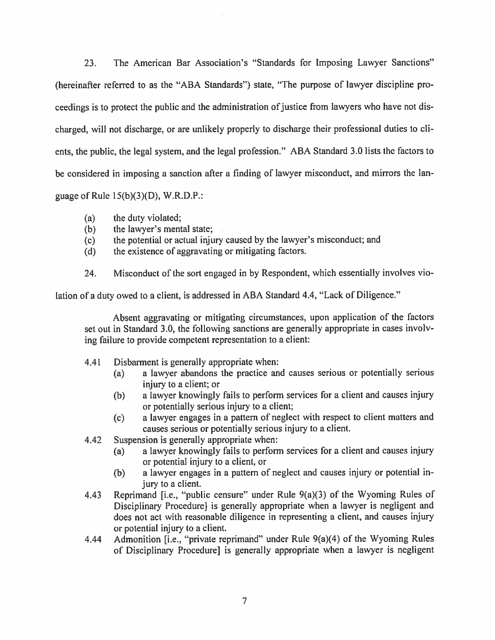The American Bar Association's "Standards for Imposing Lawyer Sanctions" 23. (hereinafter referred to as the "ABA Standards") state, "The purpose of lawyer discipline proceedings is to protect the public and the administration of justice from lawyers who have not discharged, will not discharge, or are unlikely properly to discharge their professional duties to clients, the public, the legal system, and the legal profession." ABA Standard 3.0 lists the factors to be considered in imposing a sanction after a finding of lawyer misconduct, and mirrors the language of Rule  $15(b)(3)(D)$ , W.R.D.P.:

- the duty violated;  $(a)$
- the lawyer's mental state;  $(b)$
- $(c)$ the potential or actual injury caused by the lawyer's misconduct; and
- the existence of aggravating or mitigating factors.  $(d)$
- Misconduct of the sort engaged in by Respondent, which essentially involves vio-24.

lation of a duty owed to a client, is addressed in ABA Standard 4.4, "Lack of Diligence."

Absent aggravating or mitigating circumstances, upon application of the factors set out in Standard 3.0, the following sanctions are generally appropriate in cases involving failure to provide competent representation to a client:

- 4.41 Disbarment is generally appropriate when:
	- $(a)$ a lawyer abandons the practice and causes serious or potentially serious injury to a client; or
	- a lawyer knowingly fails to perform services for a client and causes injury  $(b)$ or potentially serious injury to a client;
	- a lawyer engages in a pattern of neglect with respect to client matters and  $(c)$ causes serious or potentially serious injury to a client.
- 4.42 Suspension is generally appropriate when:
	- a lawyer knowingly fails to perform services for a client and causes injury  $(a)$ or potential injury to a client, or
	- $(b)$ a lawyer engages in a pattern of neglect and causes injury or potential injury to a client.
- Reprimand [i.e., "public censure" under Rule  $9(a)(3)$  of the Wyoming Rules of 4.43 Disciplinary Procedure] is generally appropriate when a lawyer is negligent and does not act with reasonable diligence in representing a client, and causes injury or potential injury to a client.
- 4.44 Admonition [i.e., "private reprimand" under Rule 9(a)(4) of the Wyoming Rules of Disciplinary Procedure] is generally appropriate when a lawyer is negligent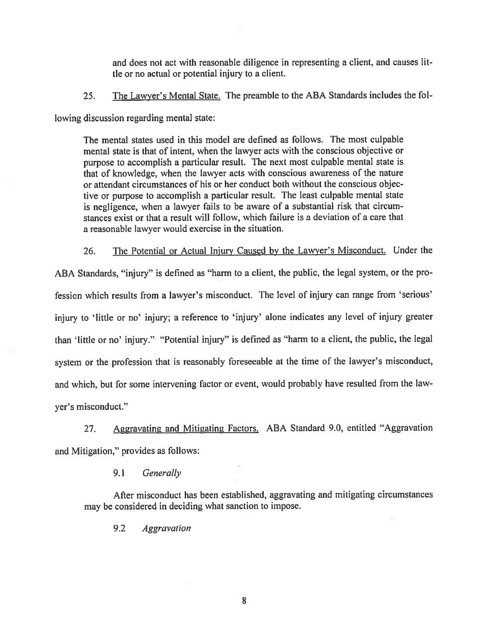and does not act with reasonable diligence in representing a client, and causes little or no actual or potential injury to a client.

The Lawyer's Mental State. The preamble to the ABA Standards includes the fol-25.

lowing discussion regarding mental state:

The mental states used in this model are defined as follows. The most culpable mental state is that of intent, when the lawyer acts with the conscious objective or purpose to accomplish a particular result. The next most culpable mental state is that of knowledge, when the lawyer acts with conscious awareness of the nature or attendant circumstances of his or her conduct both without the conscious objective or purpose to accomplish a particular result. The least culpable mental state is negligence, when a lawyer fails to be aware of a substantial risk that circumstances exist or that a result will follow, which failure is a deviation of a care that a reasonable lawyer would exercise in the situation.

The Potential or Actual Injury Caused by the Lawyer's Misconduct. Under the 26. ABA Standards, "injury" is defined as "harm to a client, the public, the legal system, or the profession which results from a lawyer's misconduct. The level of injury can range from 'serious' injury to 'little or no' injury; a reference to 'injury' alone indicates any level of injury greater than 'little or no' injury." "Potential injury" is defined as "harm to a client, the public, the legal system or the profession that is reasonably foreseeable at the time of the lawyer's misconduct, and which, but for some intervening factor or event, would probably have resulted from the lawyer's misconduct."

Aggravating and Mitigating Factors. ABA Standard 9.0, entitled "Aggravation  $27.$ and Mitigation," provides as follows:

> 9.1 Generally

After misconduct has been established, aggravating and mitigating circumstances may be considered in deciding what sanction to impose.

9.2 **Aggravation**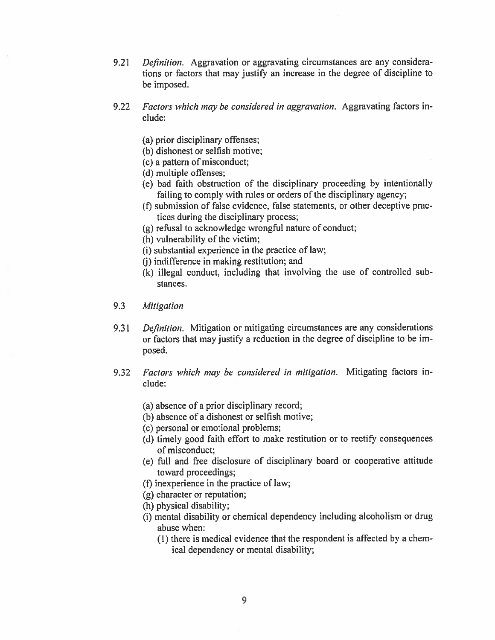- $9.21$ Definition. Aggravation or aggravating circumstances are any considerations or factors that may justify an increase in the degree of discipline to be imposed.
- $9.22$ Factors which may be considered in aggravation. Aggravating factors include:
	- (a) prior disciplinary offenses;
	- (b) dishonest or selfish motive;
	- (c) a pattern of misconduct;
	- (d) multiple offenses;
	- (e) bad faith obstruction of the disciplinary proceeding by intentionally failing to comply with rules or orders of the disciplinary agency;
	- (f) submission of false evidence, false statements, or other deceptive practices during the disciplinary process;
	- (g) refusal to acknowledge wrongful nature of conduct;
	- (h) vulnerability of the victim;
	- (i) substantial experience in the practice of law;
	- (i) indifference in making restitution; and
	- (k) illegal conduct, including that involving the use of controlled substances.
- 9.3 Mitigation
- *Definition.* Mitigation or mitigating circumstances are any considerations 9.31 or factors that may justify a reduction in the degree of discipline to be imposed.
- Factors which may be considered in mitigation. Mitigating factors in-9.32 clude:
	- (a) absence of a prior disciplinary record;
	- (b) absence of a dishonest or selfish motive;
	- (c) personal or emotional problems;
	- (d) timely good faith effort to make restitution or to rectify consequences of misconduct:
	- (e) full and free disclosure of disciplinary board or cooperative attitude toward proceedings;
	- (f) inexperience in the practice of law;
	- $(g)$  character or reputation;
	- (h) physical disability;
	- (i) mental disability or chemical dependency including alcoholism or drug abuse when:
		- (1) there is medical evidence that the respondent is affected by a chemical dependency or mental disability;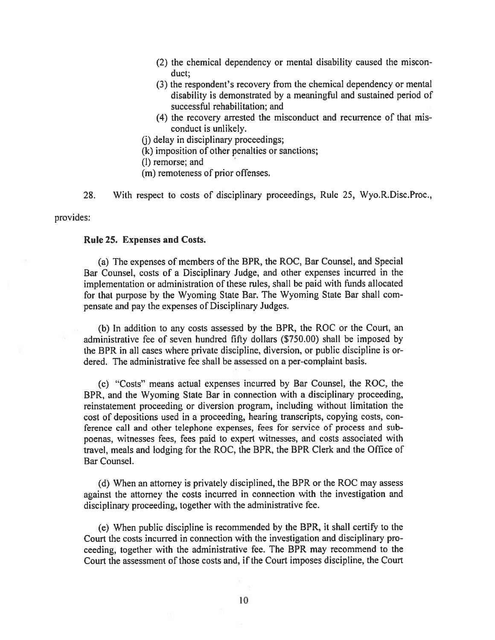- (2) the chemical dependency or mental disability caused the misconduct:
- (3) the respondent's recovery from the chemical dependency or mental disability is demonstrated by a meaningful and sustained period of successful rehabilitation; and
- (4) the recovery arrested the misconduct and recurrence of that misconduct is unlikely.
- (i) delay in disciplinary proceedings;
- (k) imposition of other penalties or sanctions;
- (l) remorse; and
- (m) remoteness of prior offenses.
- 28. With respect to costs of disciplinary proceedings, Rule 25, Wyo.R.Disc.Proc.,

#### provides:

#### Rule 25. Expenses and Costs.

(a) The expenses of members of the BPR, the ROC, Bar Counsel, and Special Bar Counsel, costs of a Disciplinary Judge, and other expenses incurred in the implementation or administration of these rules, shall be paid with funds allocated for that purpose by the Wyoming State Bar. The Wyoming State Bar shall compensate and pay the expenses of Disciplinary Judges.

(b) In addition to any costs assessed by the BPR, the ROC or the Court, an administrative fee of seven hundred fifty dollars (\$750.00) shall be imposed by the BPR in all cases where private discipline, diversion, or public discipline is ordered. The administrative fee shall be assessed on a per-complaint basis.

(c) "Costs" means actual expenses incurred by Bar Counsel, the ROC, the BPR, and the Wyoming State Bar in connection with a disciplinary proceeding, reinstatement proceeding or diversion program, including without limitation the cost of depositions used in a proceeding, hearing transcripts, copying costs, conference call and other telephone expenses, fees for service of process and subpoenas, witnesses fees, fees paid to expert witnesses, and costs associated with travel, meals and lodging for the ROC, the BPR, the BPR Clerk and the Office of Bar Counsel.

(d) When an attorney is privately disciplined, the BPR or the ROC may assess against the attorney the costs incurred in connection with the investigation and disciplinary proceeding, together with the administrative fee.

(e) When public discipline is recommended by the BPR, it shall certify to the Court the costs incurred in connection with the investigation and disciplinary proceeding, together with the administrative fee. The BPR may recommend to the Court the assessment of those costs and, if the Court imposes discipline, the Court